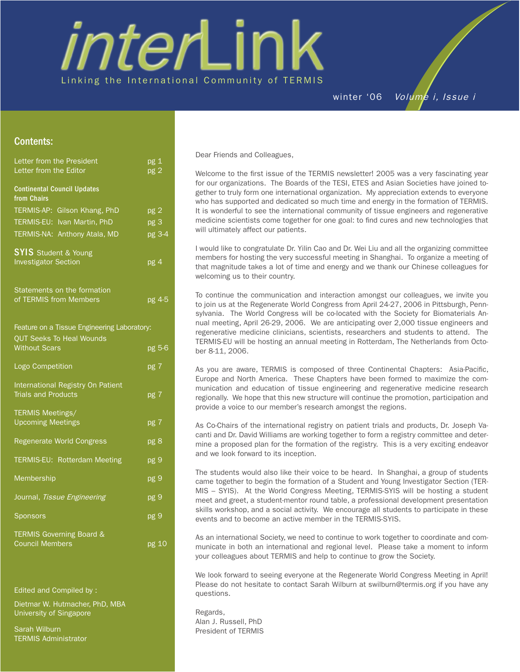# interLink Linking the International Community of TERMIS

winter '06 Volume i, Issue i

# Contents:

| Letter from the President                                       | pg 1            |
|-----------------------------------------------------------------|-----------------|
| Letter from the Editor                                          | pg 2            |
| <b>Continental Council Updates</b><br>from Chairs               |                 |
| TERMIS-AP: Gilson Khang, PhD                                    | pg <sub>2</sub> |
| TERMIS-EU: Ivan Martin, PhD                                     | pg 3            |
| TERMIS-NA: Anthony Atala, MD                                    | pg 3-4          |
| <b>SYIS</b> Student & Young                                     |                 |
| <b>Investigator Section</b>                                     | pg 4            |
| Statements on the formation                                     |                 |
| of TERMIS from Members                                          | pg 4-5          |
| Feature on a Tissue Engineering Laboratory:                     |                 |
| <b>QUT Seeks To Heal Wounds</b><br><b>Without Scars</b>         | pg 5-6          |
| Logo Competition                                                | pg 7            |
| International Registry On Patient<br><b>Trials and Products</b> | pg 7            |
| <b>TERMIS Meetings/</b><br><b>Upcoming Meetings</b>             | pg 7            |
| Regenerate World Congress                                       | pg 8            |
| <b>TERMIS-EU: Rotterdam Meeting</b>                             | pg 9            |
| Membership                                                      | pg 9            |
| Journal, Tissue Engineering                                     | pg 9            |
| Sponsors                                                        | pg 9            |
| <b>TERMIS Governing Board &amp;</b><br><b>Council Members</b>   | pg 10           |

Edited and Compiled by :

Dietmar W. Hutmacher, PhD, MBA University of Singapore

Sarah Wilburn TERMIS Administrator Dear Friends and Colleagues,

Welcome to the first issue of the TERMIS newsletter! 2005 was a very fascinating year for our organizations. The Boards of the TESI, ETES and Asian Societies have joined together to truly form one international organization. My appreciation extends to everyone who has supported and dedicated so much time and energy in the formation of TERMIS. It is wonderful to see the international community of tissue engineers and regenerative medicine scientists come together for one goal: to find cures and new technologies that will ultimately affect our patients.

I would like to congratulate Dr. Yilin Cao and Dr. Wei Liu and all the organizing committee members for hosting the very successful meeting in Shanghai. To organize a meeting of that magnitude takes a lot of time and energy and we thank our Chinese colleagues for welcoming us to their country.

To continue the communication and interaction amongst our colleagues, we invite you to join us at the Regenerate World Congress from April 24-27, 2006 in Pittsburgh, Pennsylvania. The World Congress will be co-located with the Society for Biomaterials Annual meeting, April 26-29, 2006. We are anticipating over 2,000 tissue engineers and regenerative medicine clinicians, scientists, researchers and students to attend. The TERMIS-EU will be hosting an annual meeting in Rotterdam, The Netherlands from October 8-11, 2006.

As you are aware, TERMIS is composed of three Continental Chapters: Asia-Pacific, Europe and North America. These Chapters have been formed to maximize the communication and education of tissue engineering and regenerative medicine research regionally. We hope that this new structure will continue the promotion, participation and provide a voice to our member's research amongst the regions.

As Co-Chairs of the international registry on patient trials and products, Dr. Joseph Vacanti and Dr. David Williams are working together to form a registry committee and determine a proposed plan for the formation of the registry. This is a very exciting endeavor and we look forward to its inception.

The students would also like their voice to be heard. In Shanghai, a group of students came together to begin the formation of a Student and Young Investigator Section (TER-MIS – SYIS). At the World Congress Meeting, TERMIS-SYIS will be hosting a student meet and greet, a student-mentor round table, a professional development presentation skills workshop, and a social activity. We encourage all students to participate in these events and to become an active member in the TERMIS-SYIS.

As an international Society, we need to continue to work together to coordinate and communicate in both an international and regional level. Please take a moment to inform your colleagues about TERMIS and help to continue to grow the Society.

We look forward to seeing everyone at the Regenerate World Congress Meeting in April! Please do not hesitate to contact Sarah Wilburn at swilburn@termis.org if you have any questions.

Regards, Alan J. Russell, PhD President of TERMIS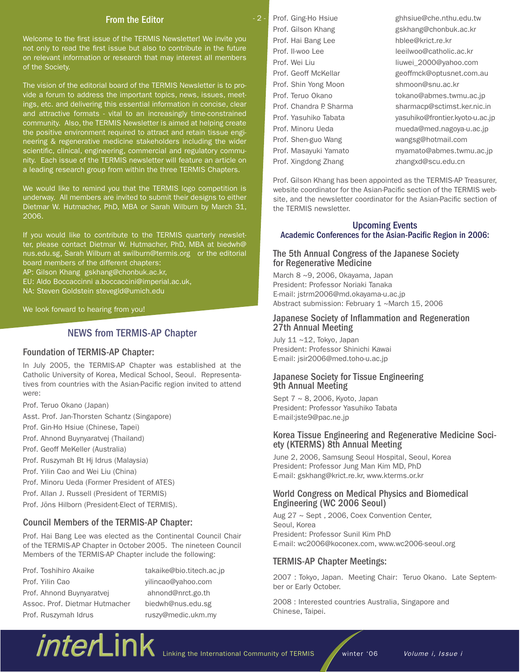# From the Editor

Welcome to the first issue of the TERMIS Newsletter! We invite you not only to read the first issue but also to contribute in the future on relevant information or research that may interest all members of the Society.

The vision of the editorial board of the TERMIS Newsletter is to provide a forum to address the important topics, news, issues, meetings, etc. and delivering this essential information in concise, clear and attractive formats - vital to an increasingly time-constrained community. Also, the TERMIS Newsletter is aimed at helping create the positive environment required to attract and retain tissue engineering & regenerative medicine stakeholders including the wider scientific, clinical, engineering, commercial and regulatory community. Each issue of the TERMIS newsletter will feature an article on a leading research group from within the three TERMIS Chapters.

We would like to remind you that the TERMIS logo competition is underway. All members are invited to submit their designs to either Dietmar W. Hutmacher, PhD, MBA or Sarah Wilburn by March 31, 2006.

If you would like to contribute to the TERMIS quarterly newsletter, please contact Dietmar W. Hutmacher, PhD, MBA at biedwh@ nus.edu.sg, Sarah Wilburn at swilburn@termis.org or the editorial board members of the different chapters:

AP: Gilson Khang gskhang@chonbuk.ac.kr,

EU: Aldo Boccaccinni a.boccaccini@imperial.ac.uk,

NA: Steven Goldstein stevegld@umich.edu

We look forward to hearing from you!

# NEWS from TERMIS-AP Chapter

# Foundation of TERMIS-AP Chapter:

In July 2005, the TERMIS-AP Chapter was established at the Catholic University of Korea, Medical School, Seoul. Representatives from countries with the Asian-Pacific region invited to attend were:

Prof. Teruo Okano (Japan)

- Asst. Prof. Jan-Thorsten Schantz (Singapore)
- Prof. Gin-Ho Hsiue (Chinese, Tapei)
- Prof. Ahnond Buynyaratvej (Thailand)
- Prof. Geoff MeKeller (Australia)

Prof. Ruszymah Bt Hj Idrus (Malaysia)

Prof. Yilin Cao and Wei Liu (China)

Prof. Minoru Ueda (Former President of ATES)

Prof. Allan J. Russell (President of TERMIS)

Prof. Jöns Hilborn (President-Elect of TERMIS).

# Council Members of the TERMIS-AP Chapter:

Prof. Hai Bang Lee was elected as the Continental Council Chair of the TERMIS-AP Chapter in October 2005. The nineteen Council Members of the TERMIS-AP Chapter include the following:

Prof. Toshihiro Akaike takaike@bio.titech.ac.jp Prof. Yilin Cao yilincao@yahoo.com Prof. Ahnond Buynyaratvej ahnond@nrct.go.th Assoc. Prof. Dietmar Hutmacher biedwh@nus.edu.sg Prof. Ruszymah Idrus ruszy@medic.ukm.my

Prof. Ging-Ho Hsiue ghhsiue@che.nthu.edu.tw Prof. Gilson Khang entitled and the gskhang@chonbuk.ac.kr Prof. Hai Bang Lee hblee@krict.re.kr Prof. Il-woo Lee leeilwoo@catholic.ac.kr Prof. Shin Yong Moon shmoon@snu.ac.kr Prof. Shen-guo Wang wangsg@hotmail.com

 $-2-$ 

Prof. Wei Liu liuwei 2000@yahoo.com Prof. Geoff McKellar geoffmck@optusnet.com.au Prof. Teruo Okano tokano@abmes.twmu.ac.jp Prof. Chandra P. Sharma sharmacp@sctimst.ker.nic.in Prof. Yasuhiko Tabata yasuhiko@frontier.kyoto-u.ac.jp Prof. Minoru Ueda mueda@med.nagoya-u.ac.jp Prof. Masayuki Yamato myamato@abmes.twmu.ac.jp Prof. Xingdong Zhang zhangxd@scu.edu.cn

Prof. Gilson Khang has been appointed as the TERMIS-AP Treasurer, website coordinator for the Asian-Pacific section of the TERMIS website, and the newsletter coordinator for the Asian-Pacific section of the TERMIS newsletter.

# Upcoming Events Academic Conferences for the Asian-Pacific Region in 2006:

# The 5th Annual Congress of the Japanese Society for Regenerative Medicine

March 8 ~9, 2006, Okayama, Japan President: Professor Noriaki Tanaka E-mail: jstrm2006@md.okayama-u.ac.jp Abstract submission: February 1 ~March 15, 2006

# Japanese Society of Inflammation and Regeneration 27th Annual Meeting

July 11 ~12, Tokyo, Japan President: Professor Shinichi Kawai E-mail: jsir2006@med.toho-u.ac.jp

# Japanese Society for Tissue Engineering 9th Annual Meeting

Sept 7 ~ 8, 2006, Kyoto, Japan President: Professor Yasuhiko Tabata E-mail:jste9@pac.ne.jp

# Korea Tissue Engineering and Regenerative Medicine Soci- ety (KTERMS) 8th Annual Meeting

June 2, 2006, Samsung Seoul Hospital, Seoul, Korea President: Professor Jung Man Kim MD, PhD E-mail: gskhang@krict.re.kr, www.kterms.or.kr

# World Congress on Medical Physics and Biomedical Engineering (WC 2006 Seoul)

Aug 27 ~ Sept , 2006, Coex Convention Center, Seoul, Korea President: Professor Sunil Kim PhD E-mail: wc2006@koconex.com, www.wc2006-seoul.org

# TERMIS-AP Chapter Meetings:

2007 : Tokyo, Japan. Meeting Chair: Teruo Okano. Late September or Early October.

2008 : Interested countries Australia, Singapore and Chinese, Taipei.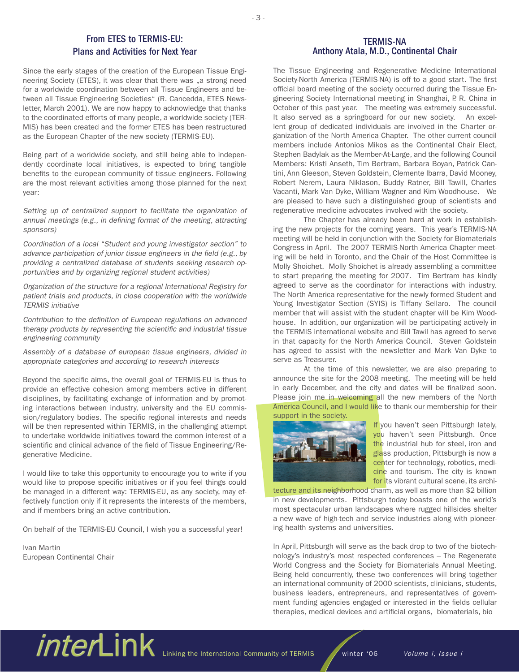# From ETES to TERMIS-EU: Plans and Activities for Next Year

Since the early stages of the creation of the European Tissue Engineering Society (ETES), it was clear that there was "a strong need for a worldwide coordination between all Tissue Engineers and between all Tissue Engineering Societies" (R. Cancedda, ETES Newsletter, March 2001). We are now happy to acknowledge that thanks to the coordinated efforts of many people, a worldwide society (TER-MIS) has been created and the former ETES has been restructured as the European Chapter of the new society (TERMIS-EU).

Being part of a worldwide society, and still being able to independently coordinate local initiatives, is expected to bring tangible benefits to the european community of tissue engineers. Following are the most relevant activities among those planned for the next year:

Setting up of centralized support to facilitate the organization of annual meetings (e.g., in defining format of the meeting, attracting sponsors)

Coordination of a local "Student and young investigator section" to advance participation of junior tissue engineers in the field (e.g., by providing a centralized database of students seeking research opportunities and by organizing regional student activities)

Organization of the structure for a regional International Registry for patient trials and products, in close cooperation with the worldwide TERMIS initiative

Contribution to the definition of European regulations on advanced therapy products by representing the scientific and industrial tissue engineering community

Assembly of a database of european tissue engineers, divided in appropriate categories and according to research interests

Beyond the specific aims, the overall goal of TERMIS-EU is thus to provide an effective cohesion among members active in different disciplines, by facilitating exchange of information and by promoting interactions between industry, university and the EU commission/regulatory bodies. The specific regional interests and needs will be then represented within TERMIS, in the challenging attempt to undertake worldwide initiatives toward the common interest of a scientific and clinical advance of the field of Tissue Engineering/Regenerative Medicine.

I would like to take this opportunity to encourage you to write if you would like to propose specific initiatives or if you feel things could be managed in a different way: TERMIS-EU, as any society, may effectively function only if it represents the interests of the members, and if members bring an active contribution.

On behalf of the TERMIS-EU Council, I wish you a successful year!

Ivan Martin European Continental Chair

# TERMIS-NA Anthony Atala, M.D., Continental Chair

The Tissue Engineering and Regenerative Medicine International Society-North America (TERMIS-NA) is off to a good start. The first official board meeting of the society occurred during the Tissue Engineering Society International meeting in Shanghai, P. R. China in October of this past year. The meeting was extremely successful. It also served as a springboard for our new society. An excellent group of dedicated individuals are involved in the Charter organization of the North America Chapter. The other current council members include Antonios Mikos as the Continental Chair Elect, Stephen Badylak as the Member-At-Large, and the following Council Members: Kristi Anseth, Tim Bertram, Barbara Boyan, Patrick Cantini, Ann Gleeson, Steven Goldstein, Clemente Ibarra, David Mooney, Robert Nerem, Laura Niklason, Buddy Ratner, Bill Tawill, Charles Vacanti, Mark Van Dyke, William Wagner and Kim Woodhouse. We are pleased to have such a distinguished group of scientists and regenerative medicine advocates involved with the society.

The Chapter has already been hard at work in establishing the new projects for the coming years. This year's TERMIS-NA meeting will be held in conjunction with the Society for Biomaterials Congress in April. The 2007 TERMIS-North America Chapter meeting will be held in Toronto, and the Chair of the Host Committee is Molly Shoichet. Molly Shoichet is already assembling a committee to start preparing the meeting for 2007. Tim Bertram has kindly agreed to serve as the coordinator for interactions with industry. The North America representative for the newly formed Student and Young Investigator Section (SYIS) is Tiffany Sellaro. The council member that will assist with the student chapter will be Kim Woodhouse. In addition, our organization will be participating actively in the TERMIS international website and Bill Tawil has agreed to serve in that capacity for the North America Council. Steven Goldstein has agreed to assist with the newsletter and Mark Van Dyke to serve as Treasurer.

At the time of this newsletter, we are also preparing to announce the site for the 2008 meeting. The meeting will be held in early December, and the city and dates will be finalized soon. Please join me in welcoming all the new members of the North America Council, and I would like to thank our membership for their support in the society.



If you haven't seen Pittsburgh lately, you haven't seen Pittsburgh. Once the industrial hub for steel, iron and glass production, Pittsburgh is now a center for technology, robotics, medicine and tourism. The city is known for its vibrant cultural scene, its archi-

tecture and its neighborhood charm, as well as more than \$2 billion in new developments. Pittsburgh today boasts one of the world's most spectacular urban landscapes where rugged hillsides shelter a new wave of high-tech and service industries along with pioneering health systems and universities.

In April, Pittsburgh will serve as the back drop to two of the biotechnology's industry's most respected conferences – The Regenerate World Congress and the Society for Biomaterials Annual Meeting. Being held concurrently, these two conferences will bring together an international community of 2000 scientists, clinicians, students, business leaders, entrepreneurs, and representatives of government funding agencies engaged or interested in the fields cellular therapies, medical devices and artificial organs, biomaterials, bio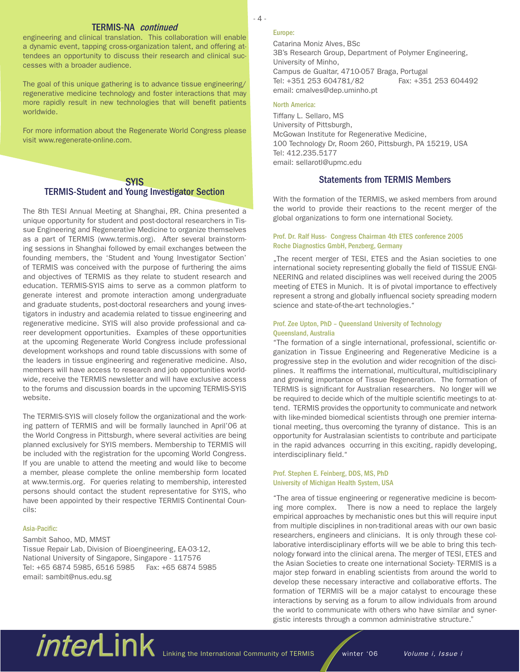# TERMIS-NA continued

engineering and clinical translation. This collaboration will enable a dynamic event, tapping cross-organization talent, and offering attendees an opportunity to discuss their research and clinical successes with a broader audience.

The goal of this unique gathering is to advance tissue engineering/ regenerative medicine technology and foster interactions that may more rapidly result in new technologies that will benefit patients worldwide.

For more information about the Regenerate World Congress please visit www.regenerate-online.com.

# **SYIS**

# TERMIS-Student and Young Investigator Section

The 8th TESI Annual Meeting at Shanghai, P.R. China presented a unique opportunity for student and post-doctoral researchers in Tissue Engineering and Regenerative Medicine to organize themselves as a part of TERMIS (www.termis.org). After several brainstorming sessions in Shanghai followed by email exchanges between the founding members, the 'Student and Young Investigator Section' of TERMIS was conceived with the purpose of furthering the aims and objectives of TERMIS as they relate to student research and education. TERMIS-SYIS aims to serve as a common platform to generate interest and promote interaction among undergraduate and graduate students, post-doctoral researchers and young investigators in industry and academia related to tissue engineering and regenerative medicine. SYIS will also provide professional and career development opportunities. Examples of these opportunities at the upcoming Regenerate World Congress include professional development workshops and round table discussions with some of the leaders in tissue engineering and regenerative medicine. Also, members will have access to research and job opportunities worldwide, receive the TERMIS newsletter and will have exclusive access to the forums and discussion boards in the upcoming TERMIS-SYIS website.

The TERMIS-SYIS will closely follow the organizational and the working pattern of TERMIS and will be formally launched in April'06 at the World Congress in Pittsburgh, where several activities are being planned exclusively for SYIS members. Membership to TERMIS will be included with the registration for the upcoming World Congress. If you are unable to attend the meeting and would like to become a member, please complete the online membership form located at www.termis.org. For queries relating to membership, interested persons should contact the student representative for SYIS, who have been appointed by their respective TERMIS Continental Councils:

# Asia-Pacific:

# Sambit Sahoo, MD, MMST Tissue Repair Lab, Division of Bioengineering, EA-03-12, National University of Singapore, Singapore - 117576 Tel: +65 6874 5985, 6516 5985 Fax: +65 6874 5985 email: sambit@nus.edu.sg

# - 4 -

# Europe:

Catarina Moniz Alves, BSc 3B's Research Group, Department of Polymer Engineering, University of Minho, Campus de Gualtar, 4710-057 Braga, Portugal Tel: +351 253 604781/82 Fax: +351 253 604492 email: cmalves@dep.uminho.pt

#### North America:

Tiffany L. Sellaro, MS University of Pittsburgh, McGowan Institute for Regenerative Medicine, 100 Technology Dr, Room 260, Pittsburgh, PA 15219, USA Tel: 412.235.5177 email: sellarotl@upmc.edu

# Statements from TERMIS Members

With the formation of the TERMIS, we asked members from around the world to provide their reactions to the recent merger of the global organizations to form one international Society.

# Prof. Dr. Ralf Huss- Congress Chairman 4th ETES conference 2005 Roche Diagnostics GmbH, Penzberg, Germany

"The recent merger of TESI, ETES and the Asian societies to one international society representing globally the field of TISSUE ENGI-NEERING and related disciplines was well received during the 2005 meeting of ETES in Munich. It is of pivotal importance to effectively represent a strong and globally influencal society spreading modern science and state-of-the-art technologies."

# Prof. Zee Upton, PhD – Queensland University of Technology Queensland, Australia

"The formation of a single international, professional, scientific organization in Tissue Engineering and Regenerative Medicine is a progressive step in the evolution and wider recognition of the disciplines. It reaffirms the international, multicultural, multidisciplinary and growing importance of Tissue Regeneration. The formation of TERMIS is significant for Australian researchers. No longer will we be required to decide which of the multiple scientific meetings to attend. TERMIS provides the opportunity to communicate and network with like-minded biomedical scientists through one premier international meeting, thus overcoming the tyranny of distance. This is an opportunity for Australasian scientists to contribute and participate in the rapid advances occurring in this exciting, rapidly developing, interdisciplinary field."

# Prof. Stephen E. Feinberg, DDS, MS, PhD University of Michigan Health System, USA

"The area of tissue engineering or regenerative medicine is becoming more complex. There is now a need to replace the largely empirical approaches by mechanistic ones but this will require input from multiple disciplines in non-traditional areas with our own basic researchers, engineers and clinicians. It is only through these collaborative interdisciplinary efforts will we be able to bring this technology forward into the clinical arena. The merger of TESI, ETES and the Asian Societies to create one international Society- TERMIS is a major step forward in enabling scientists from around the world to develop these necessary interactive and collaborative efforts. The formation of TERMIS will be a major catalyst to encourage these interactions by serving as a forum to allow individuals from around the world to communicate with others who have similar and synergistic interests through a common administrative structure."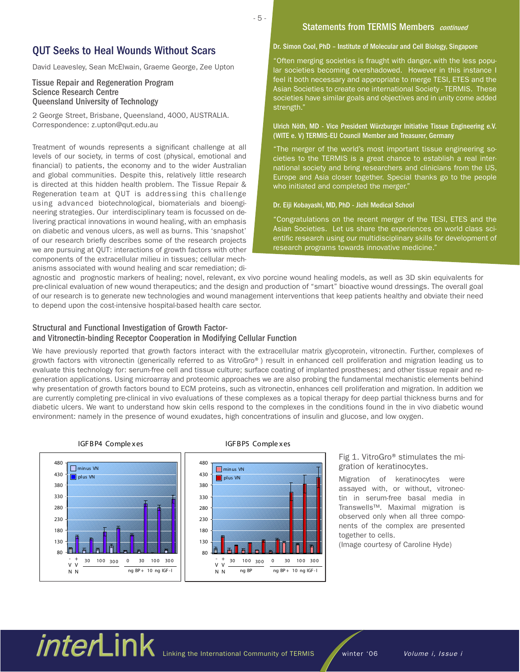# QUT Seeks to Heal Wounds Without Scars

David Leavesley, Sean McElwain, Graeme George, Zee Upton

# Tissue Repair and Regeneration Program Science Research Centre Queensland University of Technology

2 George Street, Brisbane, Queensland, 4000, AUSTRALIA. Correspondence: z.upton@qut.edu.au

Treatment of wounds represents a significant challenge at all levels of our society, in terms of cost (physical, emotional and financial) to patients, the economy and to the wider Australian and global communities. Despite this, relatively little research is directed at this hidden health problem. The Tissue Repair & Regeneration team at QUT is addressing this challenge using advanced biotechnological, biomaterials and bioengineering strategies. Our interdisciplinary team is focussed on delivering practical innovations in wound healing, with an emphasis on diabetic and venous ulcers, as well as burns. This 'snapshot' of our research briefly describes some of the research projects we are pursuing at QUT: interactions of growth factors with other components of the extracellular milieu in tissues; cellular mechanisms associated with wound healing and scar remediation; di-

# Statements from TERMIS Members continued

# Dr. Simon Cool, PhD – Institute of Molecular and Cell Biology, Singapore

"Often merging societies is fraught with danger, with the less popular societies becoming overshadowed. However in this instance I feel it both necessary and appropriate to merge TESI, ETES and the Asian Societies to create one international Society - TERMIS. These societies have similar goals and objectives and in unity come added strength."

# Ulrich Nöth, MD - Vice President Würzburger Initiative Tissue Engineering e.V. (WITE e. V) TERMIS-EU Council Member and Treasurer, Germany

"The merger of the world's most important tissue engineering societies to the TERMIS is a great chance to establish a real international society and bring researchers and clinicians from the US, Europe and Asia closer together. Special thanks go to the people who initiated and completed the merger."

### Dr. Eiji Kobayashi, MD, PhD - Jichi Medical School

"Congratulations on the recent merger of the TESI, ETES and the Asian Societies. Let us share the experiences on world class scientific research using our multidisciplinary skills for development of research programs towards innovative medicine."

agnostic and prognostic markers of healing; novel, relevant, ex vivo porcine wound healing models, as well as 3D skin equivalents for pre-clinical evaluation of new wound therapeutics; and the design and production of "smart" bioactive wound dressings. The overall goal of our research is to generate new technologies and wound management interventions that keep patients healthy and obviate their need to depend upon the cost-intensive hospital-based health care sector.

# Structural and Functional Investigation of Growth Factorand Vitronectin-binding Receptor Cooperation in Modifying Cellular Function

We have previously reported that growth factors interact with the extracellular matrix glycoprotein, vitronectin. Further, complexes of growth factors with vitronectin (generically referred to as VitroGro®) result in enhanced cell proliferation and migration leading us to evaluate this technology for: serum-free cell and tissue culture; surface coating of implanted prostheses; and other tissue repair and regeneration applications. Using microarray and proteomic approaches we are also probing the fundamental mechanistic elements behind why presentation of growth factors bound to ECM proteins, such as vitronectin, enhances cell proliferation and migration. In addition we are currently completing pre-clinical in vivo evaluations of these complexes as a topical therapy for deep partial thickness burns and for diabetic ulcers. We want to understand how skin cells respond to the complexes in the conditions found in the in vivo diabetic wound environment: namely in the presence of wound exudates, high concentrations of insulin and glucose, and low oxygen.



#### IGFBP4 Comple xes IGFBP5 Comple xes



Fig 1. VitroGro® stimulates the migration of keratinocytes.

Migration of keratinocytes were assayed with, or without, vitronectin in serum-free basal media in Transwells™. Maximal migration is observed only when all three components of the complex are presented together to cells.

(Image courtesy of Caroline Hyde)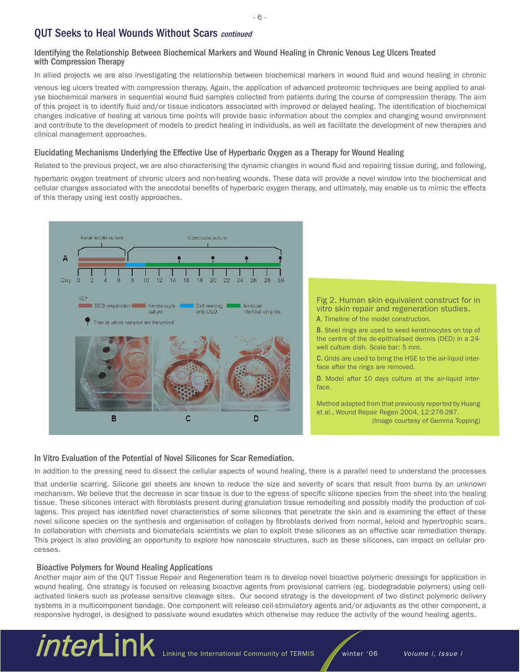# **QUT Seeks to Heal Wounds Without Scars continued**

# Identifying the Relationship Between Biochemical Markers and Wound Healing in Chronic Venous Leg Ulcers Treated with Compression Therapy

In allied projects we are also investigating the relationship between biochemical markers in wound fluid and wound healing in chronic

venous leg ulcers treated with compression therapy. Again, the application of advanced proteomic techniques are being applied to analyse biochemical markers in sequential wound fluid samples collected from patients during the course of compression therapy. The aim of this project is to identify fluid and/or tissue indicators associated with improved or delayed healing. The identification of biochemical changes indicative of healing at various time points will provide basic information about the complex and changing wound environment and contribute to the development of models to predict healing in individuals, as well as facilitate the development of new therapies and clinical management approaches.

# Elucidating Mechanisms Underlying the Effective Use of Hyperbaric Oxygen as a Therapy for Wound Healing

Related to the previous project, we are also characterising the dynamic changes in wound fluid and repairing tissue during, and following,

hyperbaric oxygen treatment of chronic ulcers and non-healing wounds. These data will provide a novel window into the biochemical and cellular changes associated with the anecdotal benefits of hyperbaric oxygen therapy, and ultimately, may enable us to mimic the effects of this therapy using lest costly approaches.



Fig 2. Human skin equivalent construct for in vitro skin repair and regeneration studies. A. Timeline of the model construction.

B. Steel rings are used to seed keratinocytes on top of the centre of the de-epithialised dermis (DED) in a 24 well culture dish. Scale bar: 5 mm.

C. Grids are used to bring the HSE to the air-liquid interface after the rings are removed.

D. Model after 10 days culture at the air-liquid interface.

Method adapted from that previously reported by Huang et al., Wound Repair Regen 2004, 12:276-287. (Image courtesy of Gemma Topping)

# In Vitro Evaluation of the Potential of Novel Silicones for Scar Remediation.

In addition to the pressing need to dissect the cellular aspects of wound healing, there is a parallel need to understand the processes

that underlie scarring. Silicone gel sheets are known to reduce the size and severity of scars that result from burns by an unknown mechanism. We believe that the decrease in scar tissue is due to the egress of specific silicone species from the sheet into the healing tissue. These silicones interact with fibroblasts present during granulation tissue remodelling and possibly modify the production of collagens. This project has identified novel characteristics of some silicones that penetrate the skin and is examining the effect of these novel silicone species on the synthesis and organisation of collagen by fibroblasts derived from normal, keloid and hypertrophic scars. In collaboration with chemists and biomaterials scientists we plan to exploit these silicones as an effective scar remediation therapy. This project is also providing an opportunity to explore how nanoscale structures, such as these silicones, can impact on cellular processes.

# Bioactive Polymers for Wound Healing Applications

Another major aim of the QUT Tissue Repair and Regeneration team is to develop novel bioactive polymeric dressings for application in wound healing. One strategy is focused on releasing bioactive agents from provisional carriers (eg. biodegradable polymers) using cellactivated linkers such as protease sensitive cleavage sites. Our second strategy is the development of two distinct polymeric delivery systems in a multicomponent bandage. One component will release cell-stimulatory agents and/or adjuvants as the other component, a responsive hydrogel, is designed to passivate wound exudates which otherwise may reduce the activity of the wound healing agents.

# *inter*Link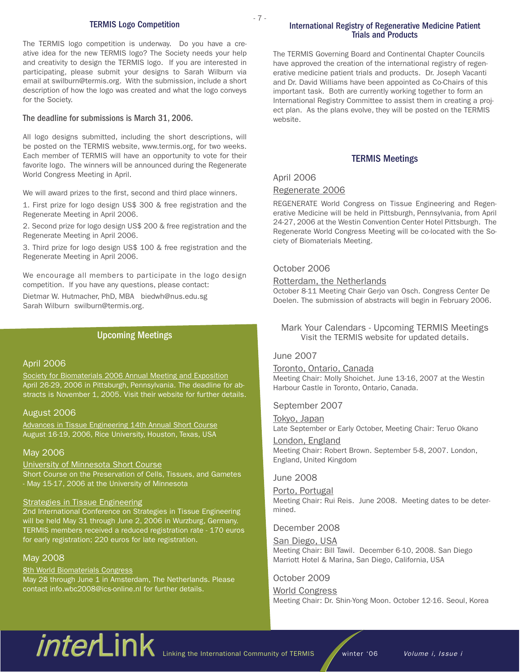# TERMIS Logo Competition

The TERMIS logo competition is underway. Do you have a creative idea for the new TERMIS logo? The Society needs your help and creativity to design the TERMIS logo. If you are interested in participating, please submit your designs to Sarah Wilburn via email at swilburn@termis.org. With the submission, include a short description of how the logo was created and what the logo conveys for the Society.

# The deadline for submissions is March 31, 2006.

All logo designs submitted, including the short descriptions, will be posted on the TERMIS website, www.termis.org, for two weeks. Each member of TERMIS will have an opportunity to vote for their favorite logo. The winners will be announced during the Regenerate World Congress Meeting in April.

We will award prizes to the first, second and third place winners.

1. First prize for logo design US\$ 300 & free registration and the Regenerate Meeting in April 2006.

2. Second prize for logo design US\$ 200 & free registration and the Regenerate Meeting in April 2006.

3. Third prize for logo design US\$ 100 & free registration and the Regenerate Meeting in April 2006.

We encourage all members to participate in the logo design competition. If you have any questions, please contact:

Dietmar W. Hutmacher, PhD, MBA biedwh@nus.edu.sg Sarah Wilburn swilburn@termis.org.

# Upcoming Meetings

# April 2006

Society for Biomaterials 2006 Annual Meeting and Exposition April 26-29, 2006 in Pittsburgh, Pennsylvania. The deadline for abstracts is November 1, 2005. Visit their website for further details.

# August 2006

Advances in Tissue Engineering 14th Annual Short Course August 16-19, 2006, Rice University, Houston, Texas, USA

# May 2006

University of Minnesota Short Course Short Course on the Preservation of Cells, Tissues, and Gametes - May 15-17, 2006 at the University of Minnesota

### Strategies in Tissue Engineering

2nd International Conference on Strategies in Tissue Engineering will be held May 31 through June 2, 2006 in Wurzburg, Germany. TERMIS members received a reduced registration rate - 170 euros for early registration; 220 euros for late registration.

### May 2008

8th World Biomaterials Congress May 28 through June 1 in Amsterdam, The Netherlands. Please contact info.wbc2008@ics-online.nl for further details.

# International Registry of Regenerative Medicine Patient Trials and Products

The TERMIS Governing Board and Continental Chapter Councils have approved the creation of the international registry of regenerative medicine patient trials and products. Dr. Joseph Vacanti and Dr. David Williams have been appointed as Co-Chairs of this important task. Both are currently working together to form an International Registry Committee to assist them in creating a project plan. As the plans evolve, they will be posted on the TERMIS website.

# TERMIS Meetings

# April 2006

# Regenerate 2006

REGENERATE World Congress on Tissue Engineering and Regenerative Medicine will be held in Pittsburgh, Pennsylvania, from April 24-27, 2006 at the Westin Convention Center Hotel Pittsburgh. The Regenerate World Congress Meeting will be co-located with the Society of Biomaterials Meeting.

# October 2006

# Rotterdam, the Netherlands

October 8-11 Meeting Chair Gerjo van Osch. Congress Center De Doelen. The submission of abstracts will begin in February 2006.

# Mark Your Calendars - Upcoming TERMIS Meetings Visit the TERMIS website for updated details.

# June 2007

Toronto, Ontario, Canada

Meeting Chair: Molly Shoichet. June 13-16, 2007 at the Westin Harbour Castle in Toronto, Ontario, Canada.

# September 2007

Tokyo, Japan Late September or Early October, Meeting Chair: Teruo Okano

London, England Meeting Chair: Robert Brown. September 5-8, 2007. London, England, United Kingdom

# June 2008

Porto, Portugal Meeting Chair: Rui Reis. June 2008. Meeting dates to be determined.

# December 2008

San Diego, USA Meeting Chair: Bill Tawil. December 6-10, 2008. San Diego Marriott Hotel & Marina, San Diego, California, USA

# October 2009

### World Congress

Meeting Chair: Dr. Shin-Yong Moon. October 12-16. Seoul, Korea

# inter linking the International Community of TERMIS winter '06 Volume i, Issue i

- 7 -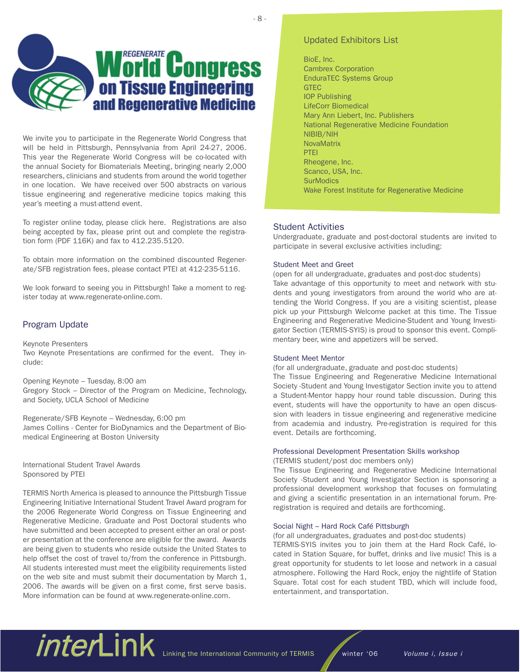- 8 -



We invite you to participate in the Regenerate World Congress that will be held in Pittsburgh, Pennsylvania from April 24-27, 2006. This year the Regenerate World Congress will be co-located with the annual Society for Biomaterials Meeting, bringing nearly 2,000 researchers, clinicians and students from around the world together in one location. We have received over 500 abstracts on various tissue engineering and regenerative medicine topics making this year's meeting a must-attend event.

To register online today, please click here. Registrations are also being accepted by fax, please print out and complete the registration form (PDF 116K) and fax to 412.235.5120.

To obtain more information on the combined discounted Regenerate/SFB registration fees, please contact PTEI at 412-235-5116.

We look forward to seeing you in Pittsburgh! Take a moment to register today at www.regenerate-online.com.

# Program Update

Keynote Presenters Two Keynote Presentations are confirmed for the event. They include:

Opening Keynote – Tuesday, 8:00 am Gregory Stock – Director of the Program on Medicine, Technology, and Society, UCLA School of Medicine

Regenerate/SFB Keynote – Wednesday, 6:00 pm James Collins - Center for BioDynamics and the Department of Biomedical Engineering at Boston University

International Student Travel Awards Sponsored by PTEI

TERMIS North America is pleased to announce the Pittsburgh Tissue Engineering Initiative International Student Travel Award program for the 2006 Regenerate World Congress on Tissue Engineering and Regenerative Medicine. Graduate and Post Doctoral students who have submitted and been accepted to present either an oral or poster presentation at the conference are eligible for the award. Awards are being given to students who reside outside the United States to help offset the cost of travel to/from the conference in Pittsburgh. All students interested must meet the eligibility requirements listed on the web site and must submit their documentation by March 1, 2006. The awards will be given on a first come, first serve basis. More information can be found at www.regenerate-online.com.

# Updated Exhibitors List

BioE, Inc. Cambrex Corporation EnduraTEC Systems Group **GTEC** IOP Publishing LifeCorr Biomedical Mary Ann Liebert, Inc. Publishers National Regenerative Medicine Foundation NIBIB/NIH **NovaMatrix** PTEI Rheogene, Inc. Scanco, USA, Inc. **SurModics** Wake Forest Institute for Regenerative Medicine

# Student Activities

Undergraduate, graduate and post-doctoral students are invited to participate in several exclusive activities including:

# Student Meet and Greet

(open for all undergraduate, graduates and post-doc students) Take advantage of this opportunity to meet and network with students and young investigators from around the world who are attending the World Congress. If you are a visiting scientist, please pick up your Pittsburgh Welcome packet at this time. The Tissue Engineering and Regenerative Medicine-Student and Young Investigator Section (TERMIS-SYIS) is proud to sponsor this event. Complimentary beer, wine and appetizers will be served.

### Student Meet Mentor

(for all undergraduate, graduate and post-doc students)

The Tissue Engineering and Regenerative Medicine International Society -Student and Young Investigator Section invite you to attend a Student-Mentor happy hour round table discussion. During this event, students will have the opportunity to have an open discussion with leaders in tissue engineering and regenerative medicine from academia and industry. Pre-registration is required for this event. Details are forthcoming.

# Professional Development Presentation Skills workshop

(TERMIS student/post doc members only)

The Tissue Engineering and Regenerative Medicine International Society -Student and Young Investigator Section is sponsoring a professional development workshop that focuses on formulating and giving a scientific presentation in an international forum. Preregistration is required and details are forthcoming.

# Social Night – Hard Rock Café Pittsburgh

(for all undergraduates, graduates and post-doc students)

TERMIS-SYIS invites you to join them at the Hard Rock Café, located in Station Square, for buffet, drinks and live music! This is a great opportunity for students to let loose and network in a casual atmosphere. Following the Hard Rock, enjoy the nightlife of Station Square. Total cost for each student TBD, which will include food, entertainment, and transportation.

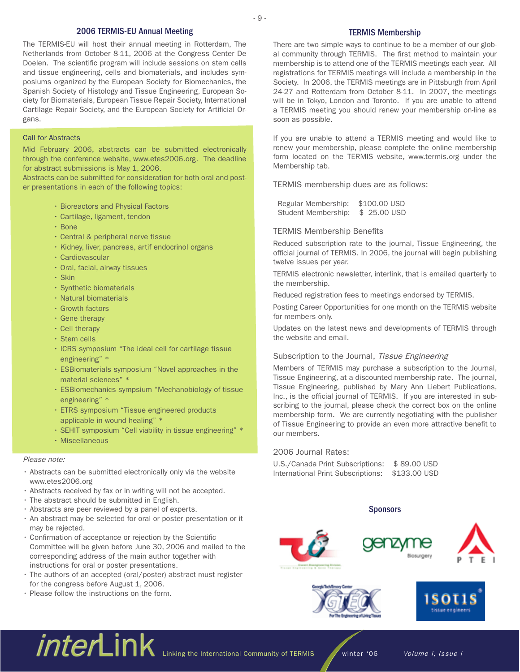# 2006 TERMIS-EU Annual Meeting

The TERMIS-EU will host their annual meeting in Rotterdam, The Netherlands from October 8-11, 2006 at the Congress Center De Doelen. The scientific program will include sessions on stem cells and tissue engineering, cells and biomaterials, and includes symposiums organized by the European Society for Biomechanics, the Spanish Society of Histology and Tissue Engineering, European Society for Biomaterials, European Tissue Repair Society, International Cartilage Repair Society, and the European Society for Artificial Organs.

# Call for Abstracts

Mid February 2006, abstracts can be submitted electronically through the conference website, www.etes2006.org. The deadline for abstract submissions is May 1, 2006.

Abstracts can be submitted for consideration for both oral and poster presentations in each of the following topics:

- Bioreactors and Physical Factors
- Cartilage, ligament, tendon
- Bone
- Central & peripheral nerve tissue
- Kidney, liver, pancreas, artif endocrinol organs
- Cardiovascular
- Oral, facial, airway tissues
- Skin
- Synthetic biomaterials
- Natural biomaterials
- Growth factors
- Gene therapy
- Cell therapy
- Stem cells
- ICRS symposium "The ideal cell for cartilage tissue engineering" \*
- ESBiomaterials symposium "Novel approaches in the material sciences" \*
- ESBiomechanics sympsium "Mechanobiology of tissue engineering" \*
- ETRS symposium "Tissue engineered products applicable in wound healing" \*
- SEHIT symposium "Cell viability in tissue engineering" \*
- Miscellaneous

# Please note:

- Abstracts can be submitted electronically only via the website www.etes2006.org
- Abstracts received by fax or in writing will not be accepted.
- The abstract should be submitted in English.
- Abstracts are peer reviewed by a panel of experts.
- An abstract may be selected for oral or poster presentation or it may be rejected.
- Confirmation of acceptance or rejection by the Scientific Committee will be given before June 30, 2006 and mailed to the corresponding address of the main author together with instructions for oral or poster presentations.
- The authors of an accepted (oral/poster) abstract must register for the congress before August 1, 2006.
- Please follow the instructions on the form.

# TERMIS Membership

There are two simple ways to continue to be a member of our global community through TERMIS. The first method to maintain your membership is to attend one of the TERMIS meetings each year. All registrations for TERMIS meetings will include a membership in the Society. In 2006, the TERMIS meetings are in Pittsburgh from April 24-27 and Rotterdam from October 8-11. In 2007, the meetings will be in Tokyo, London and Toronto. If you are unable to attend a TERMIS meeting you should renew your membership on-line as soon as possible.

If you are unable to attend a TERMIS meeting and would like to renew your membership, please complete the online membership form located on the TERMIS website, www.termis.org under the Membership tab.

TERMIS membership dues are as follows:

 Regular Membership: \$100.00 USD Student Membership: \$ 25.00 USD

### TERMIS Membership Benefits

- 9 -

Reduced subscription rate to the journal, Tissue Engineering, the official journal of TERMIS. In 2006, the journal will begin publishing twelve issues per year.

TERMIS electronic newsletter, interlink, that is emailed quarterly to the membership.

Reduced registration fees to meetings endorsed by TERMIS.

Posting Career Opportunities for one month on the TERMIS website for members only.

Updates on the latest news and developments of TERMIS through the website and email.

# Subscription to the Journal, Tissue Engineering

Members of TERMIS may purchase a subscription to the Journal, Tissue Engineering, at a discounted membership rate. The journal, Tissue Engineering, published by Mary Ann Liebert Publications, Inc., is the official journal of TERMIS. If you are interested in subscribing to the journal, please check the correct box on the online membership form. We are currently negotiating with the publisher of Tissue Engineering to provide an even more attractive benefit to our members.

# 2006 Journal Rates:

U.S./Canada Print Subscriptions: \$ 89.00 USD International Print Subscriptions: \$133.00 USD

# **Sponsors**